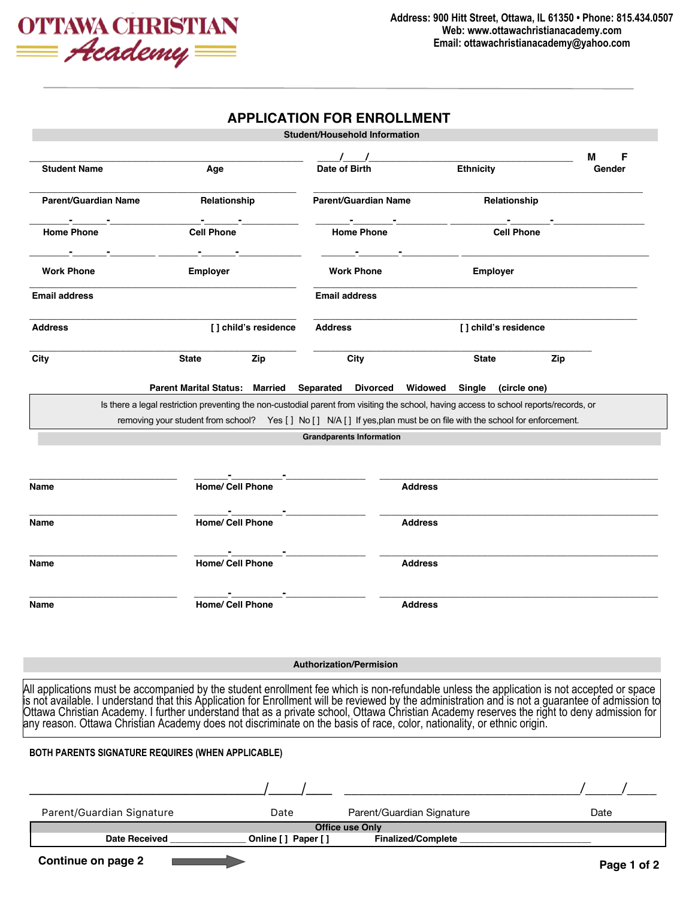

## **APPLICATION FOR ENROLLMENT Student/Household Information**

|                                                   |                                                                                                                                                                                                                                   | Student/Housenoid Information   |                                                                                           |                      |                  |
|---------------------------------------------------|-----------------------------------------------------------------------------------------------------------------------------------------------------------------------------------------------------------------------------------|---------------------------------|-------------------------------------------------------------------------------------------|----------------------|------------------|
| <b>Student Name</b>                               | Age                                                                                                                                                                                                                               | $\sqrt{ }$<br>Date of Birth     | <b>Ethnicity</b>                                                                          |                      | F<br>м<br>Gender |
| <b>Parent/Guardian Name</b>                       | Relationship                                                                                                                                                                                                                      | <b>Parent/Guardian Name</b>     |                                                                                           | Relationship         |                  |
| <b>Home Phone</b>                                 | <b>Cell Phone</b>                                                                                                                                                                                                                 | <b>Home Phone</b>               |                                                                                           | <b>Cell Phone</b>    |                  |
| <b>Work Phone</b>                                 | the control of the control of the control<br><b>Employer</b>                                                                                                                                                                      | <b>Work Phone</b>               | the control of the control of the control of the control of the control of the control of | <b>Employer</b>      |                  |
| <b>Email address</b>                              |                                                                                                                                                                                                                                   | <b>Email address</b>            |                                                                                           |                      |                  |
| <b>Address</b>                                    | [] child's residence                                                                                                                                                                                                              | Address                         |                                                                                           | [] child's residence |                  |
| City                                              | <b>State</b><br>Zip                                                                                                                                                                                                               | City                            | <b>State</b>                                                                              | Zip                  |                  |
|                                                   | Parent Marital Status: Married Separated Divorced Widowed Single (circle one)                                                                                                                                                     |                                 |                                                                                           |                      |                  |
|                                                   | Is there a legal restriction preventing the non-custodial parent from visiting the school, having access to school reports/records, or                                                                                            |                                 |                                                                                           |                      |                  |
|                                                   | removing your student from school? Yes [] No [] N/A [] If yes, plan must be on file with the school for enforcement.                                                                                                              | <b>Grandparents Information</b> |                                                                                           |                      |                  |
|                                                   |                                                                                                                                                                                                                                   |                                 |                                                                                           |                      |                  |
|                                                   |                                                                                                                                                                                                                                   |                                 |                                                                                           |                      |                  |
| Name                                              | <b>Home/ Cell Phone</b>                                                                                                                                                                                                           |                                 | <b>Address</b>                                                                            |                      |                  |
|                                                   |                                                                                                                                                                                                                                   |                                 |                                                                                           |                      |                  |
| Name                                              | <b>Home/ Cell Phone</b>                                                                                                                                                                                                           |                                 | <b>Address</b>                                                                            |                      |                  |
| Name                                              | <b>Home/ Cell Phone</b>                                                                                                                                                                                                           |                                 | <b>Address</b>                                                                            |                      |                  |
| Name                                              | <b>Home/ Cell Phone</b>                                                                                                                                                                                                           |                                 | <b>Address</b>                                                                            |                      |                  |
|                                                   |                                                                                                                                                                                                                                   |                                 |                                                                                           |                      |                  |
|                                                   |                                                                                                                                                                                                                                   | <b>Authorization/Permision</b>  |                                                                                           |                      |                  |
|                                                   | All applications must be accompanied by the student enrollment fee which is non-refundable unless the application is not accepted or space<br>is not available. I understand that this Application for Enrollment will be reviewe |                                 |                                                                                           |                      |                  |
| BOTH PARENTS SIGNATURE REQUIRES (WHEN APPLICABLE) |                                                                                                                                                                                                                                   |                                 |                                                                                           |                      |                  |
|                                                   |                                                                                                                                                                                                                                   |                                 |                                                                                           |                      |                  |
| Parent/Guardian Signature                         | Date                                                                                                                                                                                                                              |                                 | Parent/Guardian Signature                                                                 |                      | Date             |
| Date Received                                     | Online [ ] Paper [ ]                                                                                                                                                                                                              | <b>Office use Only</b>          | Finalized/Complete                                                                        |                      |                  |
|                                                   |                                                                                                                                                                                                                                   |                                 |                                                                                           |                      |                  |
| <b>Continue on page 2</b>                         |                                                                                                                                                                                                                                   |                                 |                                                                                           |                      | Page 1 of 2      |